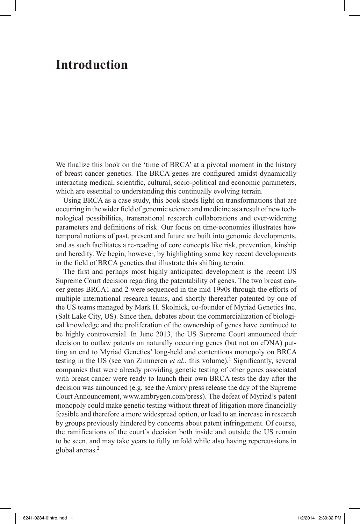# **Introduction**

We finalize this book on the 'time of BRCA' at a pivotal moment in the history of breast cancer genetics. The BRCA genes are configured amidst dynamically interacting medical, scientific, cultural, socio-political and economic parameters, which are essential to understanding this continually evolving terrain.

Using BRCA as a case study, this book sheds light on transformations that are occurring in the wider field of genomic science and medicine as a result of new technological possibilities, transnational research collaborations and ever-widening parameters and definitions of risk. Our focus on time-economies illustrates how temporal notions of past, present and future are built into genomic developments, and as such facilitates a re-reading of core concepts like risk, prevention, kinship and heredity. We begin, however, by highlighting some key recent developments in the field of BRCA genetics that illustrate this shifting terrain.

The first and perhaps most highly anticipated development is the recent US Supreme Court decision regarding the patentability of genes. The two breast cancer genes BRCA1 and 2 were sequenced in the mid 1990s through the efforts of multiple international research teams, and shortly thereafter patented by one of the US teams managed by Mark H. Skolnick, co-founder of Myriad Genetics Inc. (Salt Lake City, US). Since then, debates about the commercialization of biological knowledge and the proliferation of the ownership of genes have continued to be highly controversial. In June 2013, the US Supreme Court announced their decision to outlaw patents on naturally occurring genes (but not on cDNA) putting an end to Myriad Genetics' long-held and contentious monopoly on BRCA testing in the US (see van Zimmeren et al., this volume).<sup>1</sup> Significantly, several companies that were already providing genetic testing of other genes associated with breast cancer were ready to launch their own BRCA tests the day after the decision was announced (e.g. see the Ambry press release the day of the Supreme Court Announcement, www.ambrygen.com/press). The defeat of Myriad's patent monopoly could make genetic testing without threat of litigation more financially feasible and therefore a more widespread option, or lead to an increase in research by groups previously hindered by concerns about patent infringement. Of course, the ramifications of the court's decision both inside and outside the US remain to be seen, and may take years to fully unfold while also having repercussions in global arenas.<sup>2</sup>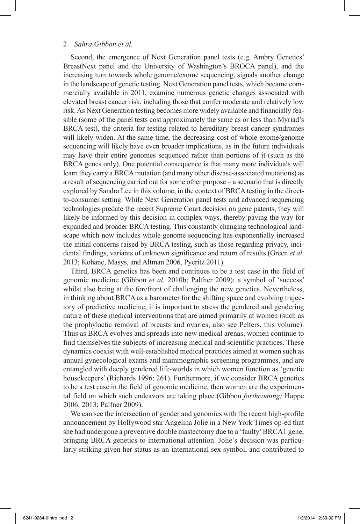Second, the emergence of Next Generation panel tests (e.g. Ambry Genetics' BreastNext panel and the University of Washington's BROCA panel), and the increasing turn towards whole genome/exome sequencing, signals another change in the landscape of genetic testing. Next Generation panel tests, which became commercially available in 2011, examine numerous genetic changes associated with elevated breast cancer risk, including those that confer moderate and relatively low risk. As Next Generation testing becomes more widely available and financially feasible (some of the panel tests cost approximately the same as or less than Myriad's BRCA test), the criteria for testing related to hereditary breast cancer syndromes will likely widen. At the same time, the decreasing cost of whole exome/genome sequencing will likely have even broader implications, as in the future individuals may have their entire genomes sequenced rather than portions of it (such as the BRCA genes only). One potential consequence is that many more individuals will learn they carry a BRCA mutation (and many other disease-associated mutations) as a result of sequencing carried out for some other purpose – a scenario that is directly explored by Sandra Lee in this volume, in the context of BRCA testing in the directto-consumer setting. While Next Generation panel tests and advanced sequencing technologies predate the recent Supreme Court decision on gene patents, they will likely be informed by this decision in complex ways, thereby paving the way for expanded and broader BRCA testing. This constantly changing technological landscape which now includes whole genome sequencing has exponentially increased the initial concerns raised by BRCA testing, such as those regarding privacy, incidental findings, variants of unknown significance and return of results (Green *et al.* 2013; Kohane, Masys, and Altman 2006, Pyeritz 2011).

Third, BRCA genetics has been and continues to be a test case in the field of genomic medicine (Gibbon *et al.* 2010b; Palfner 2009): a symbol of 'success' whilst also being at the forefront of challenging the new genetics. Nevertheless, in thinking about BRCA as a barometer for the shifting space and evolving trajectory of predictive medicine, it is important to stress the gendered and gendering nature of these medical interventions that are aimed primarily at women (such as the prophylactic removal of breasts and ovaries; also see Pelters, this volume). Thus as BRCA evolves and spreads into new medical arenas, women continue to find themselves the subjects of increasing medical and scientific practices. These dynamics coexist with well-established medical practices aimed at women such as annual gynecological exams and mammographic screening programmes, and are entangled with deeply gendered life-worlds in which women function as 'genetic housekeepers' (Richards 1996: 261). Furthermore, if we consider BRCA genetics to be a test case in the field of genomic medicine, then women are the experimental field on which such endeavors are taking place (Gibbon *forthcoming;* Happe 2006, 2013; Palfner 2009).

We can see the intersection of gender and genomics with the recent high-profile announcement by Hollywood star Angelina Jolie in a New York Times op-ed that she had undergone a preventive double mastectomy due to a 'faulty' BRCA1 gene, bringing BRCA genetics to international attention. Jolie's decision was particularly striking given her status as an international sex symbol, and contributed to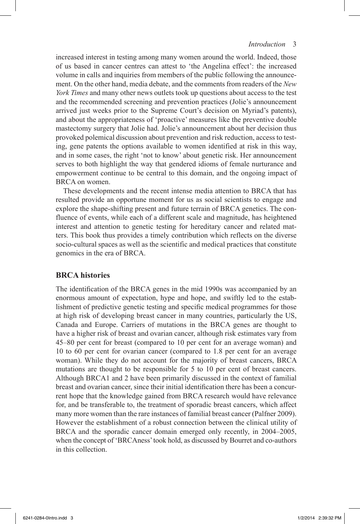increased interest in testing among many women around the world. Indeed, those of us based in cancer centres can attest to 'the Angelina effect': the increased volume in calls and inquiries from members of the public following the announcement. On the other hand, media debate, and the comments from readers of the *New York Times* and many other news outlets took up questions about access to the test and the recommended screening and prevention practices (Jolie's announcement arrived just weeks prior to the Supreme Court's decision on Myriad's patents), and about the appropriateness of 'proactive' measures like the preventive double mastectomy surgery that Jolie had. Jolie's announcement about her decision thus provoked polemical discussion about prevention and risk reduction, access to testing, gene patents the options available to women identified at risk in this way, and in some cases, the right 'not to know' about genetic risk. Her announcement serves to both highlight the way that gendered idioms of female nurturance and empowerment continue to be central to this domain, and the ongoing impact of BRCA on women.

These developments and the recent intense media attention to BRCA that has resulted provide an opportune moment for us as social scientists to engage and explore the shape-shifting present and future terrain of BRCA genetics. The confluence of events, while each of a different scale and magnitude, has heightened interest and attention to genetic testing for hereditary cancer and related matters. This book thus provides a timely contribution which reflects on the diverse socio-cultural spaces as well as the scientific and medical practices that constitute genomics in the era of BRCA.

## **BRCA histories**

The identification of the BRCA genes in the mid 1990s was accompanied by an enormous amount of expectation, hype and hope, and swiftly led to the establishment of predictive genetic testing and specific medical programmes for those at high risk of developing breast cancer in many countries, particularly the US, Canada and Europe. Carriers of mutations in the BRCA genes are thought to have a higher risk of breast and ovarian cancer, although risk estimates vary from 45–80 per cent for breast (compared to 10 per cent for an average woman) and 10 to 60 per cent for ovarian cancer (compared to 1.8 per cent for an average woman). While they do not account for the majority of breast cancers, BRCA mutations are thought to be responsible for 5 to 10 per cent of breast cancers. Although BRCA1 and 2 have been primarily discussed in the context of familial breast and ovarian cancer, since their initial identification there has been a concurrent hope that the knowledge gained from BRCA research would have relevance for, and be transferable to, the treatment of sporadic breast cancers, which affect many more women than the rare instances of familial breast cancer (Palfner 2009). However the establishment of a robust connection between the clinical utility of BRCA and the sporadic cancer domain emerged only recently, in 2004–2005, when the concept of 'BRCAness' took hold, as discussed by Bourret and co-authors in this collection.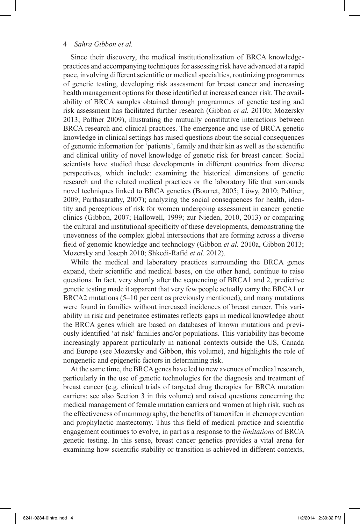Since their discovery, the medical institutionalization of BRCA knowledgepractices and accompanying techniques for assessing risk have advanced at a rapid pace, involving different scientific or medical specialties, routinizing programmes of genetic testing, developing risk assessment for breast cancer and increasing health management options for those identified at increased cancer risk. The availability of BRCA samples obtained through programmes of genetic testing and risk assessment has facilitated further research (Gibbon *et al.* 2010b; Mozersky 2013; Palfner 2009), illustrating the mutually constitutive interactions between BRCA research and clinical practices. The emergence and use of BRCA genetic knowledge in clinical settings has raised questions about the social consequences of genomic information for 'patients', family and their kin as well as the scientific and clinical utility of novel knowledge of genetic risk for breast cancer. Social scientists have studied these developments in different countries from diverse perspectives, which include: examining the historical dimensions of genetic research and the related medical practices or the laboratory life that surrounds novel techniques linked to BRCA genetics (Bourret, 2005; Löwy, 2010; Palfner, 2009; Parthasarathy, 2007); analyzing the social consequences for health, identity and perceptions of risk for women undergoing assessment in cancer genetic clinics (Gibbon, 2007; Hallowell, 1999; zur Nieden, 2010, 2013) or comparing the cultural and institutional specificity of these developments, demonstrating the unevenness of the complex global intersections that are forming across a diverse field of genomic knowledge and technology (Gibbon *et al.* 2010a, Gibbon 2013; Mozersky and Joseph 2010; Shkedi-Rafid *et al.* 2012).

While the medical and laboratory practices surrounding the BRCA genes expand, their scientific and medical bases, on the other hand, continue to raise questions. In fact, very shortly after the sequencing of BRCA1 and 2, predictive genetic testing made it apparent that very few people actually carry the BRCA1 or BRCA2 mutations (5–10 per cent as previously mentioned), and many mutations were found in families without increased incidences of breast cancer. This variability in risk and penetrance estimates reflects gaps in medical knowledge about the BRCA genes which are based on databases of known mutations and previously identified 'at risk' families and/or populations. This variability has become increasingly apparent particularly in national contexts outside the US, Canada and Europe (see Mozersky and Gibbon, this volume), and highlights the role of nongenetic and epigenetic factors in determining risk.

At the same time, the BRCA genes have led to new avenues of medical research, particularly in the use of genetic technologies for the diagnosis and treatment of breast cancer (e.g. clinical trials of targeted drug therapies for BRCA mutation carriers; see also Section 3 in this volume) and raised questions concerning the medical management of female mutation carriers and women at high risk, such as the effectiveness of mammography, the benefits of tamoxifen in chemoprevention and prophylactic mastectomy. Thus this field of medical practice and scientific engagement continues to evolve, in part as a response to the *limitations* of BRCA genetic testing. In this sense, breast cancer genetics provides a vital arena for examining how scientific stability or transition is achieved in different contexts,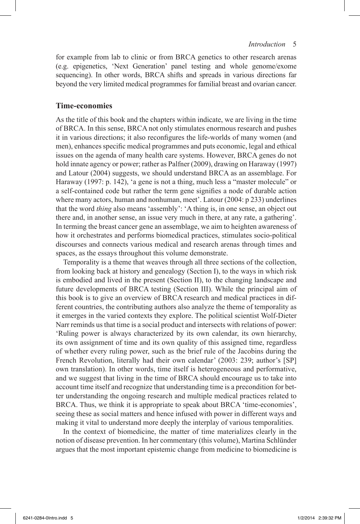for example from lab to clinic or from BRCA genetics to other research arenas (e.g. epigenetics, 'Next Generation' panel testing and whole genome/exome sequencing). In other words, BRCA shifts and spreads in various directions far beyond the very limited medical programmes for familial breast and ovarian cancer.

#### **Time-economies**

As the title of this book and the chapters within indicate, we are living in the time of BRCA. In this sense, BRCA not only stimulates enormous research and pushes it in various directions; it also reconfigures the life-worlds of many women (and men), enhances specific medical programmes and puts economic, legal and ethical issues on the agenda of many health care systems. However, BRCA genes do not hold innate agency or power; rather as Palfner (2009), drawing on Haraway (1997) and Latour (2004) suggests, we should understand BRCA as an assemblage. For Haraway (1997: p. 142), 'a gene is not a thing, much less a "master molecule" or a self-contained code but rather the term gene signifies a node of durable action where many actors, human and nonhuman, meet'. Latour (2004: p 233) underlines that the word *thing* also means 'assembly': 'A thing is, in one sense, an object out there and, in another sense, an issue very much in there, at any rate, a gathering'. In terming the breast cancer gene an assemblage, we aim to heighten awareness of how it orchestrates and performs biomedical practices, stimulates socio-political discourses and connects various medical and research arenas through times and spaces, as the essays throughout this volume demonstrate.

Temporality is a theme that weaves through all three sections of the collection, from looking back at history and genealogy (Section I), to the ways in which risk is embodied and lived in the present (Section II), to the changing landscape and future developments of BRCA testing (Section III). While the principal aim of this book is to give an overview of BRCA research and medical practices in different countries, the contributing authors also analyze the theme of temporality as it emerges in the varied contexts they explore. The political scientist Wolf-Dieter Narr reminds us that time is a social product and intersects with relations of power: 'Ruling power is always characterized by its own calendar, its own hierarchy, its own assignment of time and its own quality of this assigned time, regardless of whether every ruling power, such as the brief rule of the Jacobins during the French Revolution, literally had their own calendar' (2003: 239; author's [SP] own translation). In other words, time itself is heterogeneous and performative, and we suggest that living in the time of BRCA should encourage us to take into account time itself and recognize that understanding time is a precondition for better understanding the ongoing research and multiple medical practices related to BRCA. Thus, we think it is appropriate to speak about BRCA 'time-economies', seeing these as social matters and hence infused with power in different ways and making it vital to understand more deeply the interplay of various temporalities.

In the context of biomedicine, the matter of time materializes clearly in the notion of disease prevention. In her commentary (this volume), Martina Schlünder argues that the most important epistemic change from medicine to biomedicine is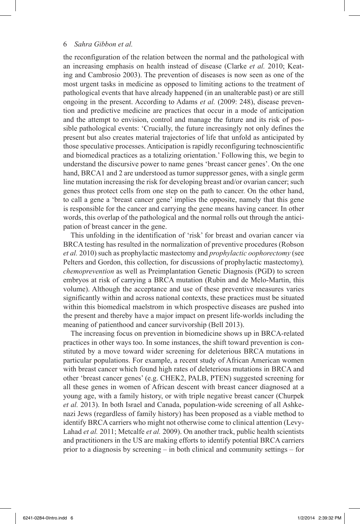the reconfiguration of the relation between the normal and the pathological with an increasing emphasis on health instead of disease (Clarke *et al.* 2010; Keating and Cambrosio 2003). The prevention of diseases is now seen as one of the most urgent tasks in medicine as opposed to limiting actions to the treatment of pathological events that have already happened (in an unalterable past) or are still ongoing in the present. According to Adams *et al.* (2009: 248), disease prevention and predictive medicine are practices that occur in a mode of anticipation and the attempt to envision, control and manage the future and its risk of possible pathological events: 'Crucially, the future increasingly not only defines the present but also creates material trajectories of life that unfold as anticipated by those speculative processes. Anticipation is rapidly reconfiguring technoscientific and biomedical practices as a totalizing orientation.' Following this, we begin to understand the discursive power to name genes 'breast cancer genes'. On the one hand, BRCA1 and 2 are understood as tumor suppressor genes, with a single germ line mutation increasing the risk for developing breast and/or ovarian cancer; such genes thus protect cells from one step on the path to cancer. On the other hand, to call a gene a 'breast cancer gene' implies the opposite, namely that this gene is responsible for the cancer and carrying the gene means having cancer. In other words, this overlap of the pathological and the normal rolls out through the anticipation of breast cancer in the gene.

This unfolding in the identification of 'risk' for breast and ovarian cancer via BRCA testing has resulted in the normalization of preventive procedures (Robson *et al.* 2010) such as prophylactic mastectomy and *prophylactic oophorectomy* (see Pelters and Gordon, this collection, for discussions of prophylactic mastectomy)*, chemoprevention* as well as Preimplantation Genetic Diagnosis (PGD) to screen embryos at risk of carrying a BRCA mutation (Rubin and de Melo-Martin, this volume). Although the acceptance and use of these preventive measures varies significantly within and across national contexts, these practices must be situated within this biomedical maelstrom in which prospective diseases are pushed into the present and thereby have a major impact on present life-worlds including the meaning of patienthood and cancer survivorship (Bell 2013).

The increasing focus on prevention in biomedicine shows up in BRCA-related practices in other ways too. In some instances, the shift toward prevention is constituted by a move toward wider screening for deleterious BRCA mutations in particular populations. For example, a recent study of African American women with breast cancer which found high rates of deleterious mutations in BRCA and other 'breast cancer genes' (e.g. CHEK2, PALB, PTEN) suggested screening for all these genes in women of African descent with breast cancer diagnosed at a young age, with a family history, or with triple negative breast cancer (Churpek *et al.* 2013). In both Israel and Canada, population-wide screening of all Ashkenazi Jews (regardless of family history) has been proposed as a viable method to identify BRCA carriers who might not otherwise come to clinical attention (Levy-Lahad *et al.* 2011; Metcalfe *et al.* 2009). On another track, public health scientists and practitioners in the US are making efforts to identify potential BRCA carriers prior to a diagnosis by screening – in both clinical and community settings – for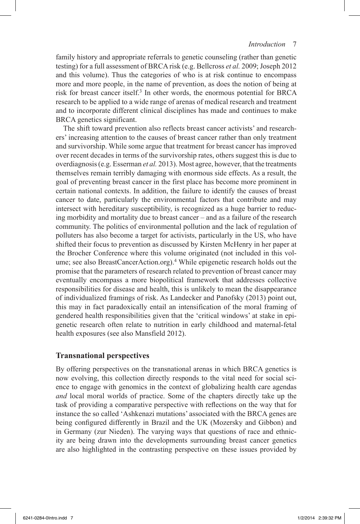family history and appropriate referrals to genetic counseling (rather than genetic testing) for a full assessment of BRCA risk (e.g. Bellcross *et al.* 2009; Joseph 2012 and this volume). Thus the categories of who is at risk continue to encompass more and more people, in the name of prevention, as does the notion of being at risk for breast cancer itself.<sup>3</sup> In other words, the enormous potential for BRCA research to be applied to a wide range of arenas of medical research and treatment and to incorporate different clinical disciplines has made and continues to make BRCA genetics significant.

The shift toward prevention also reflects breast cancer activists' and researchers' increasing attention to the causes of breast cancer rather than only treatment and survivorship. While some argue that treatment for breast cancer has improved over recent decades in terms of the survivorship rates, others suggest this is due to overdiagnosis (e.g. Esserman *et al.* 2013). Most agree, however, that the treatments themselves remain terribly damaging with enormous side effects. As a result, the goal of preventing breast cancer in the first place has become more prominent in certain national contexts. In addition, the failure to identify the causes of breast cancer to date, particularly the environmental factors that contribute and may intersect with hereditary susceptibility, is recognized as a huge barrier to reducing morbidity and mortality due to breast cancer – and as a failure of the research community. The politics of environmental pollution and the lack of regulation of polluters has also become a target for activists, particularly in the US, who have shifted their focus to prevention as discussed by Kirsten McHenry in her paper at the Brocher Conference where this volume originated (not included in this volume; see also BreastCancerAction.org).<sup>4</sup> While epigenetic research holds out the promise that the parameters of research related to prevention of breast cancer may eventually encompass a more biopolitical framework that addresses collective responsibilities for disease and health, this is unlikely to mean the disappearance of individualized framings of risk. As Landecker and Panofsky (2013) point out, this may in fact paradoxically entail an intensification of the moral framing of gendered health responsibilities given that the 'critical windows' at stake in epigenetic research often relate to nutrition in early childhood and maternal-fetal health exposures (see also Mansfield 2012).

## **Transnational perspectives**

By offering perspectives on the transnational arenas in which BRCA genetics is now evolving, this collection directly responds to the vital need for social science to engage with genomics in the context of globalizing health care agendas *and* local moral worlds of practice. Some of the chapters directly take up the task of providing a comparative perspective with reflections on the way that for instance the so called 'Ashkenazi mutations' associated with the BRCA genes are being configured differently in Brazil and the UK (Mozersky and Gibbon) and in Germany (zur Nieden). The varying ways that questions of race and ethnicity are being drawn into the developments surrounding breast cancer genetics are also highlighted in the contrasting perspective on these issues provided by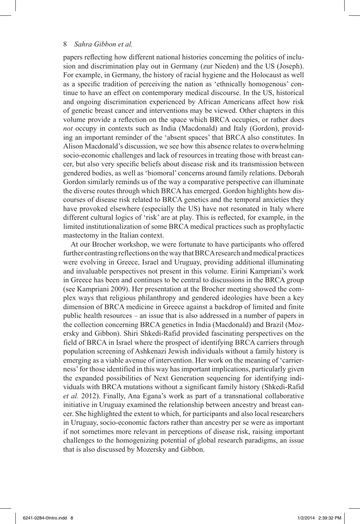papers reflecting how different national histories concerning the politics of inclusion and discrimination play out in Germany (zur Nieden) and the US (Joseph). For example, in Germany, the history of racial hygiene and the Holocaust as well as a specific tradition of perceiving the nation as 'ethnically homogenous' continue to have an effect on contemporary medical discourse. In the US, historical and ongoing discrimination experienced by African Americans affect how risk of genetic breast cancer and interventions may be viewed. Other chapters in this volume provide a reflection on the space which BRCA occupies, or rather does *not* occupy in contexts such as India (Macdonald) and Italy (Gordon), providing an important reminder of the 'absent spaces' that BRCA also constitutes. In Alison Macdonald's discussion, we see how this absence relates to overwhelming socio-economic challenges and lack of resources in treating those with breast cancer, but also very specific beliefs about disease risk and its transmission between gendered bodies, as well as 'biomoral' concerns around family relations. Deborah Gordon similarly reminds us of the way a comparative perspective can illuminate the diverse routes through which BRCA has emerged. Gordon highlights how discourses of disease risk related to BRCA genetics and the temporal anxieties they have provoked elsewhere (especially the US) have not resonated in Italy where different cultural logics of 'risk' are at play. This is reflected, for example, in the limited institutionalization of some BRCA medical practices such as prophylactic mastectomy in the Italian context.

At our Brocher workshop, we were fortunate to have participants who offered further contrasting reflections on the way that BRCA research and medical practices were evolving in Greece, Israel and Uruguay, providing additional illuminating and invaluable perspectives not present in this volume. Eirini Kampriani's work in Greece has been and continues to be central to discussions in the BRCA group (see Kampriani 2009). Her presentation at the Brocher meeting showed the complex ways that religious philanthropy and gendered ideologies have been a key dimension of BRCA medicine in Greece against a backdrop of limited and finite public health resources – an issue that is also addressed in a number of papers in the collection concerning BRCA genetics in India (Macdonald) and Brazil (Mozersky and Gibbon). Shiri Shkedi-Rafid provided fascinating perspectives on the field of BRCA in Israel where the prospect of identifying BRCA carriers through population screening of Ashkenazi Jewish individuals without a family history is emerging as a viable avenue of intervention. Her work on the meaning of 'carrierness' for those identified in this way has important implications, particularly given the expanded possibilities of Next Generation sequencing for identifying individuals with BRCA mutations without a significant family history (Shkedi-Rafid *et al.* 2012). Finally, Ana Egana's work as part of a transnational collaborative initiative in Uruguay examined the relationship between ancestry and breast cancer. She highlighted the extent to which, for participants and also local researchers in Uruguay, socio-economic factors rather than ancestry per se were as important if not sometimes more relevant in perceptions of disease risk, raising important challenges to the homogenizing potential of global research paradigms, an issue that is also discussed by Mozersky and Gibbon.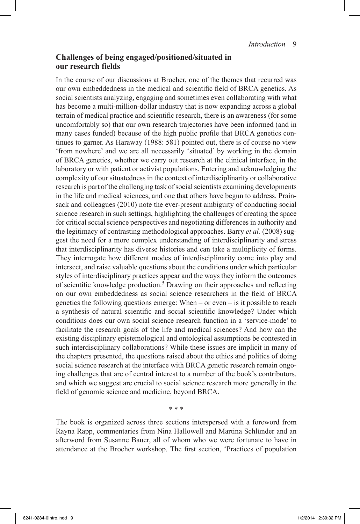## **Challenges of being engaged/positioned/situated in our research fields**

In the course of our discussions at Brocher, one of the themes that recurred was our own embeddedness in the medical and scientific field of BRCA genetics. As social scientists analyzing, engaging and sometimes even collaborating with what has become a multi-million-dollar industry that is now expanding across a global terrain of medical practice and scientific research, there is an awareness (for some uncomfortably so) that our own research trajectories have been informed (and in many cases funded) because of the high public profile that BRCA genetics continues to garner. As Haraway (1988: 581) pointed out, there is of course no view 'from nowhere' and we are all necessarily 'situated' by working in the domain of BRCA genetics, whether we carry out research at the clinical interface, in the laboratory or with patient or activist populations. Entering and acknowledging the complexity of our situatedness in the context of interdisciplinarity or collaborative research is part of the challenging task of social scientists examining developments in the life and medical sciences, and one that others have begun to address. Prainsack and colleagues (2010) note the ever-present ambiguity of conducting social science research in such settings, highlighting the challenges of creating the space for critical social science perspectives and negotiating differences in authority and the legitimacy of contrasting methodological approaches. Barry *et al.* (2008) suggest the need for a more complex understanding of interdisciplinarity and stress that interdisciplinarity has diverse histories and can take a multiplicity of forms. They interrogate how different modes of interdisciplinarity come into play and intersect, and raise valuable questions about the conditions under which particular styles of interdisciplinary practices appear and the ways they inform the outcomes of scientific knowledge production.<sup>5</sup> Drawing on their approaches and reflecting on our own embeddedness as social science researchers in the field of BRCA genetics the following questions emerge: When – or even – is it possible to reach a synthesis of natural scientific and social scientific knowledge? Under which conditions does our own social science research function in a 'service-mode' to facilitate the research goals of the life and medical sciences? And how can the existing disciplinary epistemological and ontological assumptions be contested in such interdisciplinary collaborations? While these issues are implicit in many of the chapters presented, the questions raised about the ethics and politics of doing social science research at the interface with BRCA genetic research remain ongoing challenges that are of central interest to a number of the book's contributors, and which we suggest are crucial to social science research more generally in the field of genomic science and medicine, beyond BRCA.

\* \* \*

The book is organized across three sections interspersed with a foreword from Rayna Rapp, commentaries from Nina Hallowell and Martina Schlünder and an afterword from Susanne Bauer, all of whom who we were fortunate to have in attendance at the Brocher workshop. The first section, 'Practices of population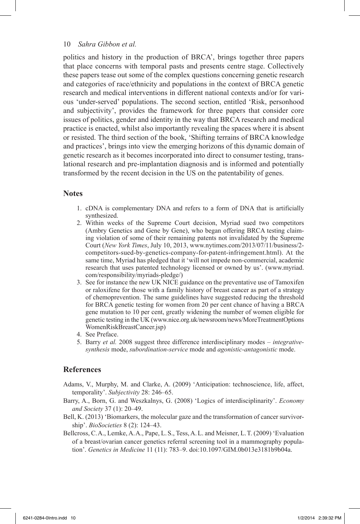politics and history in the production of BRCA', brings together three papers that place concerns with temporal pasts and presents centre stage. Collectively these papers tease out some of the complex questions concerning genetic research and categories of race/ethnicity and populations in the context of BRCA genetic research and medical interventions in different national contexts and/or for various 'under-served' populations. The second section, entitled 'Risk, personhood and subjectivity', provides the framework for three papers that consider core issues of politics, gender and identity in the way that BRCA research and medical practice is enacted, whilst also importantly revealing the spaces where it is absent or resisted. The third section of the book, 'Shifting terrains of BRCA knowledge and practices', brings into view the emerging horizons of this dynamic domain of genetic research as it becomes incorporated into direct to consumer testing, translational research and pre-implantation diagnosis and is informed and potentially transformed by the recent decision in the US on the patentability of genes.

## **Notes**

- 1. cDNA is complementary DNA and refers to a form of DNA that is artificially synthesized.
- 2. Within weeks of the Supreme Court decision, Myriad sued two competitors (Ambry Genetics and Gene by Gene), who began offering BRCA testing claiming violation of some of their remaining patents not invalidated by the Supreme Court (*New York Times*, July 10, 2013, www.nytimes.com/2013/07/11/business/2 competitors-sued-by-genetics-company-for-patent-infringement.html). At the same time, Myriad has pledged that it 'will not impede non-commercial, academic research that uses patented technology licensed or owned by us'. (www.myriad. com/responsibility/myriads-pledge/)
- 3. See for instance the new UK NICE guidance on the preventative use of Tamoxifen or raloxifene for those with a family history of breast cancer as part of a strategy of chemoprevention. The same guidelines have suggested reducing the threshold for BRCA genetic testing for women from 20 per cent chance of having a BRCA gene mutation to 10 per cent, greatly widening the number of women eligible for genetic testing in the UK (www.nice.org.uk/newsroom/news/MoreTreatmentOptions WomenRiskBreastCancer.jsp)
- 4. See Preface.
- 5. Barry *et al.* 2008 suggest three difference interdisciplinary modes *integrativesynthesis* mode, *subordination-service* mode and *agonistic-antagonistic* mode.

## **References**

- Adams, V., Murphy, M. and Clarke, A. (2009) 'Anticipation: technoscience, life, affect, temporality'. *Subjectivity* 28: 246–65.
- Barry, A., Born, G. and Weszkalnys, G. (2008) 'Logics of interdisciplinarity'. *Economy and Society* 37 (1): 20–49.
- Bell, K. (2013) 'Biomarkers, the molecular gaze and the transformation of cancer survivorship'. *BioSocieties* 8 (2): 124–43.
- Bellcross, C.A., Lemke, A.A., Pape, L.S., Tess, A.L. and Meisner, L.T. (2009) 'Evaluation of a breast/ovarian cancer genetics referral screening tool in a mammography population'. *Genetics in Medicine* 11 (11): 783–9. doi:10.1097/GIM.0b013e3181b9b04a.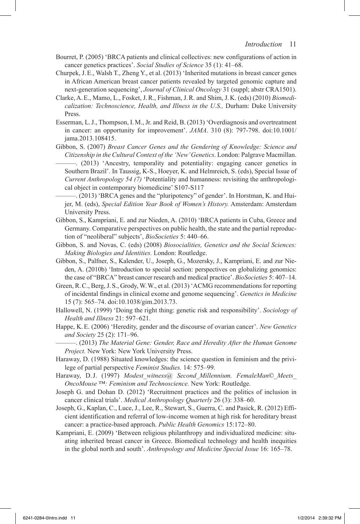- Bourret, P. (2005) 'BRCA patients and clinical collectives: new configurations of action in cancer genetics practices'. *Social Studies of Science* 35 (1): 41–68.
- Churpek, J.E., Walsh T., Zheng Y., et al. (2013) 'Inherited mutations in breast cancer genes in African American breast cancer patients revealed by targeted genomic capture and next-generation sequencing', *Journal of Clinical Oncology* 31 (suppl; abstr CRA1501).
- Clarke, A.E., Mamo, L., Fosket, J.R., Fishman, J.R. and Shim, J.K. (eds) (2010) *Biomedicalization: Technoscience, Health, and Illness in the U.S.,* Durham: Duke University Press.
- Esserman, L.J., Thompson, I.M., Jr. and Reid, B. (2013) 'Overdiagnosis and overtreatment in cancer: an opportunity for improvement'. *JAMA*. 310 (8): 797-798. doi:10.1001/ jama.2013.108415.

Gibbon, S. (2007) *Breast Cancer Genes and the Gendering of Knowledge: Science and Citizenship in the Cultural Context of the 'New' Genetics*. London: Palgrave Macmillan.

———. (2013) 'Ancestry, temporality and potentiality: engaging cancer genetics in Southern Brazil'. In Taussig, K-S., Hoeyer, K. and Helmreich, S. (eds), Special Issue of *Current Anthropology 54 (7)* 'Potentiality and humanness: revisiting the anthropological object in contemporary biomedicine' S107-S117

- -. (2013) 'BRCA genes and the "pluripotency" of gender'. In Horstman, K. and Huijer, M. (eds), *Special Edition Year Book of Women's History.* Amsterdam: Amsterdam University Press.
- Gibbon, S., Kampriani, E. and zur Nieden, A. (2010) 'BRCA patients in Cuba, Greece and Germany. Comparative perspectives on public health, the state and the partial reproduction of "neoliberal" subjects', *BioSocieties* 5: 440–66.
- Gibbon, S. and Novas, C. (eds) (2008) *Biosocialities, Genetics and the Social Sciences: Making Biologies and Identities.* London: Routledge.
- Gibbon, S., Palfner, S., Kalender, U., Joseph, G., Mozersky, J., Kampriani, E. and zur Nieden, A. (2010b) 'Introduction to special section: perspectives on globalizing genomics: the case of "BRCA" breast cancer research and medical practice'. *BioSocieties* 5: 407–14.
- Green, R.C., Berg, J.S., Grody, W.W., et al. (2013) 'ACMG recommendations for reporting of incidental findings in clinical exome and genome sequencing'. *Genetics in Medicine* 15 (7): 565–74. doi:10.1038/gim.2013.73.
- Hallowell, N. (1999) 'Doing the right thing: genetic risk and responsibility'. *Sociology of Health and Illness* 21: 597–621.
- Happe, K.E. (2006) 'Heredity, gender and the discourse of ovarian cancer'. *New Genetics and Society* 25 (2): 171–96.

———. (2013) *The Material Gene: Gender, Race and Heredity After the Human Genome Project.* New York: New York University Press.

- Haraway, D. (1988) Situated knowledges: the science question in feminism and the privilege of partial perspective *Feminist Studies.* 14: 575–99.
- Haraway, D.J. (1997) *Modest\_witness@ Second\_Millennium. FemaleMan*©*\_Meets\_ OncoMouse* ™*: Feminism and Technoscience.* New York: Routledge.
- Joseph G. and Dohan D. (2012) 'Recruitment practices and the politics of inclusion in cancer clinical trials'. *Medical Anthropology Quarterly* 26 (3): 338–60.
- Joseph, G., Kaplan, C., Luce, J., Lee, R., Stewart, S., Guerra, C. and Pasick, R. (2012) Efficient identification and referral of low-income women at high risk for hereditary breast cancer: a practice-based approach. *Public Health Genomics* 15:172–80.
- Kampriani, E. (2009) 'Between religious philanthropy and individualized medicine: situating inherited breast cancer in Greece. Biomedical technology and health inequities in the global north and south'. *Anthropology and Medicine Special Issue* 16: 165–78.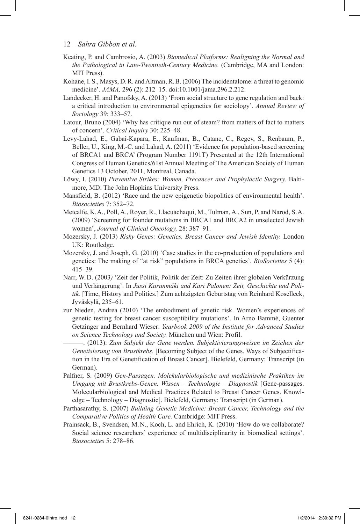12 *Sahra Gibbon et al.*

- Keating, P. and Cambrosio, A. (2003) *Biomedical Platforms: Realigning the Normal and the Pathological in Late-Twentieth-Century Medicine.* (Cambridge, MA and London: MIT Press).
- Kohane, I.S., Masys, D.R. and Altman, R.B. (2006) The incidentalome: a threat to genomic medicine'. *JAMA,* 296 (2): 212–15. doi:10.1001/jama.296.2.212.
- Landecker, H. and Panofsky, A. (2013) 'From social structure to gene regulation and back: a critical introduction to environmental epigenetics for sociology'. *Annual Review of Sociology* 39: 333–57.
- Latour, Bruno (2004) 'Why has critique run out of steam? from matters of fact to matters of concern'. *Critical Inquiry* 30: 225–48.
- Levy-Lahad, E., Gabai-Kapara, E., Kaufman, B., Catane, C., Regev, S., Renbaum, P., Beller, U., King, M.-C. and Lahad, A. (2011) 'Evidence for population-based screening of BRCA1 and BRCA' (Program Number 1191T) Presented at the 12th International Congress of Human Genetics/61st Annual Meeting of The American Society of Human Genetics 13 October, 2011, Montreal, Canada.
- Löwy, I. (2010) *Preventive Strikes: Women, Precancer and Prophylactic Surgery.* Baltimore, MD: The John Hopkins University Press.
- Mansfield, B. (2012) 'Race and the new epigenetic biopolitics of environmental health'. *Biosocieties* 7: 352–72.
- Metcalfe, K.A., Poll, A., Royer, R., Llacuachaqui, M., Tulman, A., Sun, P. and Narod, S.A. (2009) 'Screening for founder mutations in BRCA1 and BRCA2 in unselected Jewish women', *Journal of Clinical Oncology,* 28: 387–91.
- Mozersky, J. (2013) *Risky Genes: Genetics, Breast Cancer and Jewish Identity.* London UK: Routledge.
- Mozersky, J. and Joseph, G. (2010) 'Case studies in the co-production of populations and genetics: The making of "at risk" populations in BRCA genetics'. *BioSocieties* 5 (4): 415–39.
- Narr, W.D. (2003*)* 'Zeit der Politik, Politik der Zeit: Zu Zeiten ihrer globalen Verkürzung und Verlängerung'. In *Jussi Kurunmäki and Kari Palonen: Zeit, Geschichte und Politik.* [Time, History and Politics.] Zum achtzigsten Geburtstag von Reinhard Koselleck, Jyväskylä, 235–61.
- zur Nieden, Andrea (2010) 'The embodiment of genetic risk. Women's experiences of genetic testing for breast cancer susceptibility mutations'. In Arno Bammé, Guenter Getzinger and Bernhard Wieser: *Yearbook 2009 of the Institute for Advanced Studies on Science Technology and Society.* München und Wien: Profil.
	- ———. (2013): *Zum Subjekt der Gene werden. Subjektivierungsweisen im Zeichen der Genetisierung von Brustkrebs.* [Becoming Subject of the Genes. Ways of Subjectification in the Era of Genetification of Breast Cancer]. Bielefeld, Germany: Transcript (in German).
- Palfner, S. (2009) *Gen-Passagen. Molekularbiologische und medizinische Praktiken im Umgang mit Brustkrebs-Genen. Wissen* – *Technologie* – *Diagnostik* [Gene-passages. Molecularbiological and Medical Practices Related to Breast Cancer Genes. Knowledge – Technology – Diagnostic]. Bielefeld, Germany: Transcript (in German).
- Parthasarathy, S. (2007) *Building Genetic Medicine: Breast Cancer, Technology and the Comparative Politics of Health Care.* Cambridge: MIT Press.
- Prainsack, B., Svendsen, M.N., Koch, L. and Ehrich, K. (2010) 'How do we collaborate? Social science researchers' experience of multidisciplinarity in biomedical settings'. *Biosocieties* 5: 278–86.